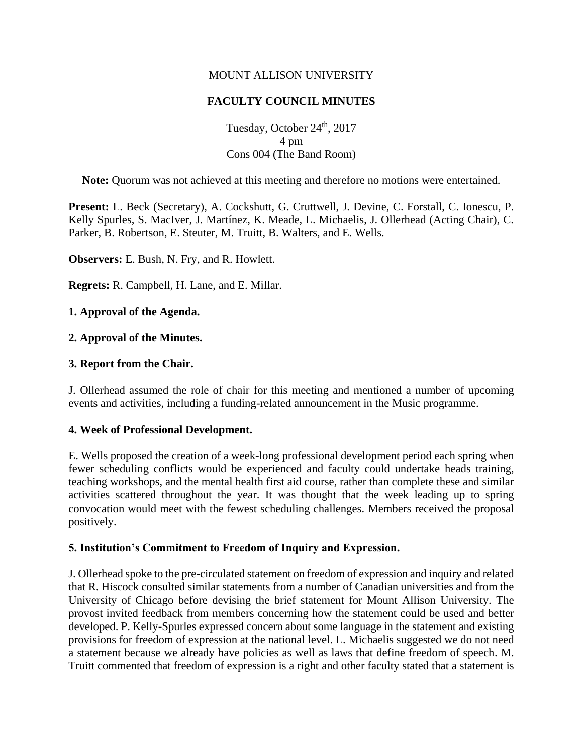## MOUNT ALLISON UNIVERSITY

# **FACULTY COUNCIL MINUTES**

Tuesday, October 24<sup>th</sup>, 2017 4 pm Cons 004 (The Band Room)

**Note:** Quorum was not achieved at this meeting and therefore no motions were entertained.

**Present:** L. Beck (Secretary), A. Cockshutt, G. Cruttwell, J. Devine, C. Forstall, C. Ionescu, P. Kelly Spurles, S. MacIver, J. Martínez, K. Meade, L. Michaelis, J. Ollerhead (Acting Chair), C. Parker, B. Robertson, E. Steuter, M. Truitt, B. Walters, and E. Wells.

**Observers:** E. Bush, N. Fry, and R. Howlett.

**Regrets:** R. Campbell, H. Lane, and E. Millar.

## **1. Approval of the Agenda.**

## **2. Approval of the Minutes.**

#### **3. Report from the Chair.**

J. Ollerhead assumed the role of chair for this meeting and mentioned a number of upcoming events and activities, including a funding-related announcement in the Music programme.

## **4. Week of Professional Development.**

E. Wells proposed the creation of a week-long professional development period each spring when fewer scheduling conflicts would be experienced and faculty could undertake heads training, teaching workshops, and the mental health first aid course, rather than complete these and similar activities scattered throughout the year. It was thought that the week leading up to spring convocation would meet with the fewest scheduling challenges. Members received the proposal positively.

## **5. Institution's Commitment to Freedom of Inquiry and Expression.**

J. Ollerhead spoke to the pre-circulated statement on freedom of expression and inquiry and related that R. Hiscock consulted similar statements from a number of Canadian universities and from the University of Chicago before devising the brief statement for Mount Allison University. The provost invited feedback from members concerning how the statement could be used and better developed. P. Kelly-Spurles expressed concern about some language in the statement and existing provisions for freedom of expression at the national level. L. Michaelis suggested we do not need a statement because we already have policies as well as laws that define freedom of speech. M. Truitt commented that freedom of expression is a right and other faculty stated that a statement is